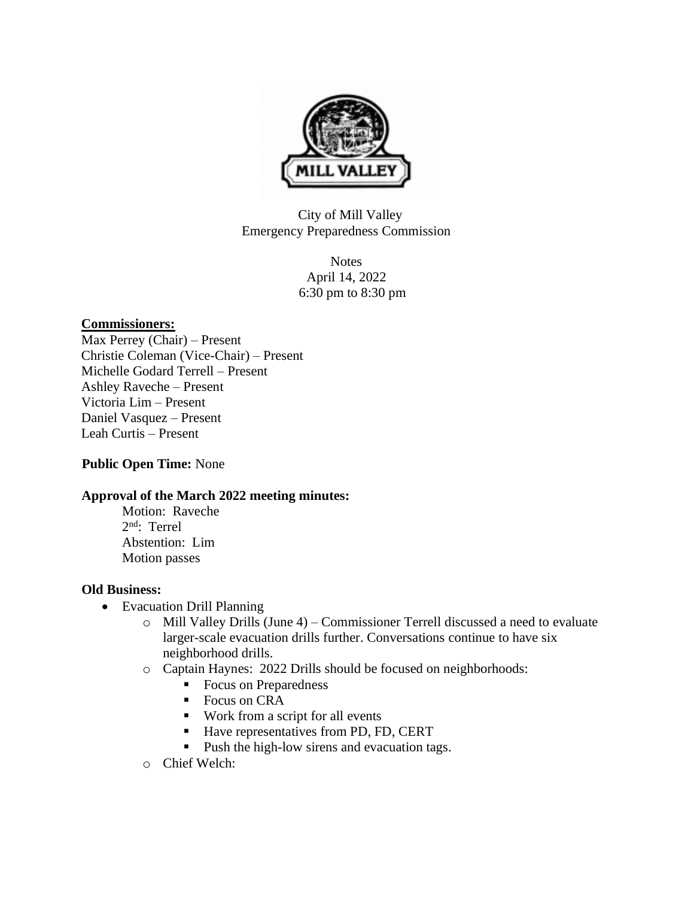

City of Mill Valley Emergency Preparedness Commission

> Notes April 14, 2022 6:30 pm to 8:30 pm

## **Commissioners:**

Max Perrey (Chair) – Present Christie Coleman (Vice-Chair) – Present Michelle Godard Terrell – Present Ashley Raveche – Present Victoria Lim – Present Daniel Vasquez – Present Leah Curtis – Present

# **Public Open Time:** None

## **Approval of the March 2022 meeting minutes:**

Motion: Raveche 2 nd: Terrel Abstention: Lim Motion passes

## **Old Business:**

- Evacuation Drill Planning
	- $\circ$  Mill Valley Drills (June 4) Commissioner Terrell discussed a need to evaluate larger-scale evacuation drills further. Conversations continue to have six neighborhood drills.
	- o Captain Haynes: 2022 Drills should be focused on neighborhoods:
		- Focus on Preparedness
		- Focus on CRA
		- Work from a script for all events
		- Have representatives from PD, FD, CERT
		- Push the high-low sirens and evacuation tags.
	- o Chief Welch: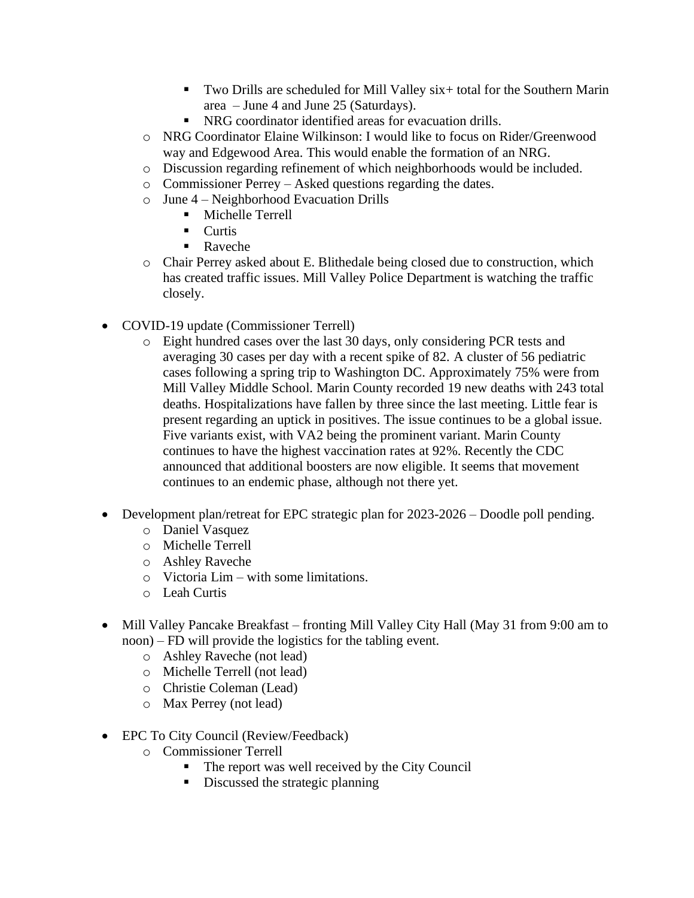- Two Drills are scheduled for Mill Valley six+ total for the Southern Marin area – June 4 and June 25 (Saturdays).
- NRG coordinator identified areas for evacuation drills.
- o NRG Coordinator Elaine Wilkinson: I would like to focus on Rider/Greenwood way and Edgewood Area. This would enable the formation of an NRG.
- o Discussion regarding refinement of which neighborhoods would be included.
- o Commissioner Perrey Asked questions regarding the dates.
- o June 4 Neighborhood Evacuation Drills
	- Michelle Terrell
	- Curtis
	- Raveche
- o Chair Perrey asked about E. Blithedale being closed due to construction, which has created traffic issues. Mill Valley Police Department is watching the traffic closely.
- COVID-19 update (Commissioner Terrell)
	- o Eight hundred cases over the last 30 days, only considering PCR tests and averaging 30 cases per day with a recent spike of 82. A cluster of 56 pediatric cases following a spring trip to Washington DC. Approximately 75% were from Mill Valley Middle School. Marin County recorded 19 new deaths with 243 total deaths. Hospitalizations have fallen by three since the last meeting. Little fear is present regarding an uptick in positives. The issue continues to be a global issue. Five variants exist, with VA2 being the prominent variant. Marin County continues to have the highest vaccination rates at 92%. Recently the CDC announced that additional boosters are now eligible. It seems that movement continues to an endemic phase, although not there yet.
- Development plan/retreat for EPC strategic plan for 2023-2026 Doodle poll pending.
	- o Daniel Vasquez
	- o Michelle Terrell
	- o Ashley Raveche
	- o Victoria Lim with some limitations.
	- o Leah Curtis
- Mill Valley Pancake Breakfast fronting Mill Valley City Hall (May 31 from 9:00 am to noon) – FD will provide the logistics for the tabling event.
	- o Ashley Raveche (not lead)
	- o Michelle Terrell (not lead)
	- o Christie Coleman (Lead)
	- o Max Perrey (not lead)
- EPC To City Council (Review/Feedback)
	- o Commissioner Terrell
		- The report was well received by the City Council
		- Discussed the strategic planning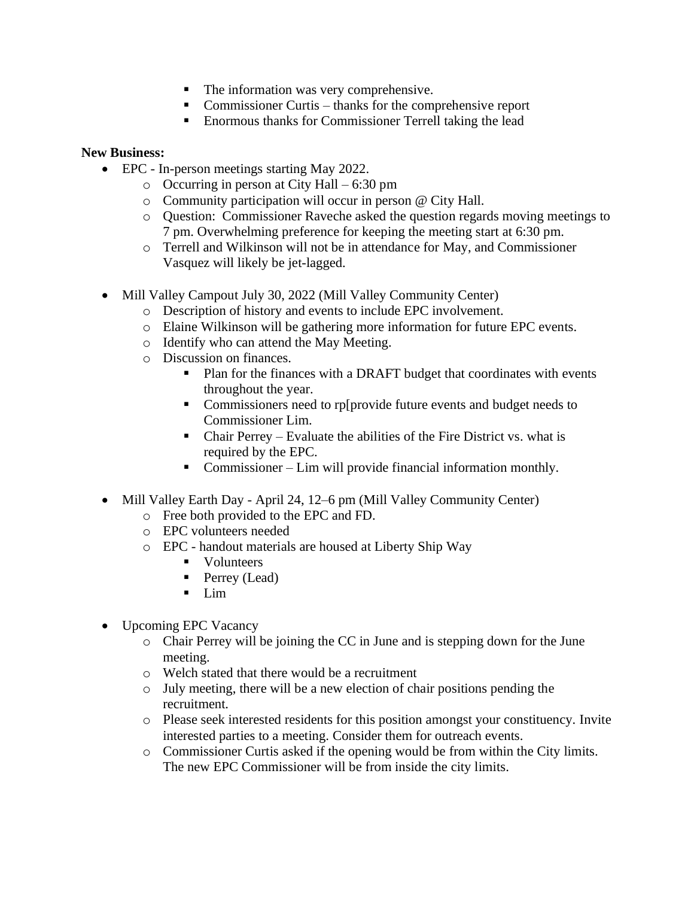- The information was very comprehensive.
- Commissioner Curtis thanks for the comprehensive report
- Enormous thanks for Commissioner Terrell taking the lead

## **New Business:**

- EPC In-person meetings starting May 2022.
	- o Occurring in person at City Hall 6:30 pm
	- o Community participation will occur in person @ City Hall.
	- o Question: Commissioner Raveche asked the question regards moving meetings to 7 pm. Overwhelming preference for keeping the meeting start at 6:30 pm.
	- $\circ$  Terrell and Wilkinson will not be in attendance for May, and Commissioner Vasquez will likely be jet-lagged.
- Mill Valley Campout July 30, 2022 (Mill Valley Community Center)
	- o Description of history and events to include EPC involvement.
	- o Elaine Wilkinson will be gathering more information for future EPC events.
	- o Identify who can attend the May Meeting.
	- o Discussion on finances.
		- Plan for the finances with a DRAFT budget that coordinates with events throughout the year.
		- Commissioners need to rp[provide future events and budget needs to Commissioner Lim.
		- $\blacksquare$  Chair Perrey Evaluate the abilities of the Fire District vs. what is required by the EPC.
		- Commissioner Lim will provide financial information monthly.
- Mill Valley Earth Day April 24, 12–6 pm (Mill Valley Community Center)
	- o Free both provided to the EPC and FD.
	- o EPC volunteers needed
	- o EPC handout materials are housed at Liberty Ship Way
		- Volunteers
		- Perrey (Lead)
		- $\blacksquare$  Lim
- Upcoming EPC Vacancy
	- o Chair Perrey will be joining the CC in June and is stepping down for the June meeting.
	- o Welch stated that there would be a recruitment
	- o July meeting, there will be a new election of chair positions pending the recruitment.
	- o Please seek interested residents for this position amongst your constituency. Invite interested parties to a meeting. Consider them for outreach events.
	- o Commissioner Curtis asked if the opening would be from within the City limits. The new EPC Commissioner will be from inside the city limits.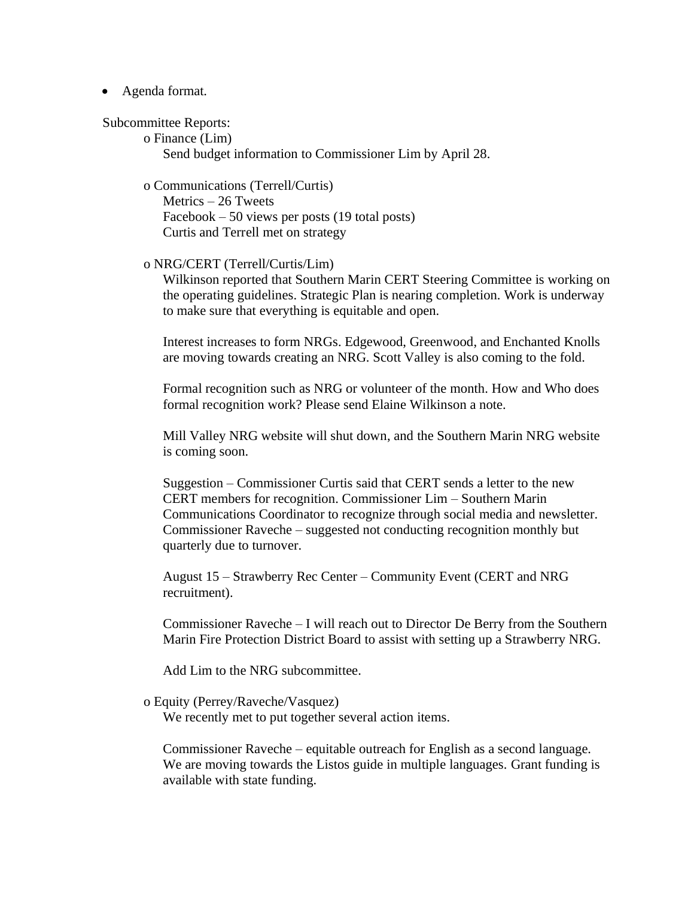### • Agenda format.

#### Subcommittee Reports:

o Finance (Lim) Send budget information to Commissioner Lim by April 28.

o Communications (Terrell/Curtis)

Metrics – 26 Tweets Facebook – 50 views per posts (19 total posts) Curtis and Terrell met on strategy

### o NRG/CERT (Terrell/Curtis/Lim)

Wilkinson reported that Southern Marin CERT Steering Committee is working on the operating guidelines. Strategic Plan is nearing completion. Work is underway to make sure that everything is equitable and open.

Interest increases to form NRGs. Edgewood, Greenwood, and Enchanted Knolls are moving towards creating an NRG. Scott Valley is also coming to the fold.

Formal recognition such as NRG or volunteer of the month. How and Who does formal recognition work? Please send Elaine Wilkinson a note.

Mill Valley NRG website will shut down, and the Southern Marin NRG website is coming soon.

Suggestion – Commissioner Curtis said that CERT sends a letter to the new CERT members for recognition. Commissioner Lim – Southern Marin Communications Coordinator to recognize through social media and newsletter. Commissioner Raveche – suggested not conducting recognition monthly but quarterly due to turnover.

August 15 – Strawberry Rec Center – Community Event (CERT and NRG recruitment).

Commissioner Raveche – I will reach out to Director De Berry from the Southern Marin Fire Protection District Board to assist with setting up a Strawberry NRG.

Add Lim to the NRG subcommittee.

### o Equity (Perrey/Raveche/Vasquez)

We recently met to put together several action items.

Commissioner Raveche – equitable outreach for English as a second language. We are moving towards the Listos guide in multiple languages. Grant funding is available with state funding.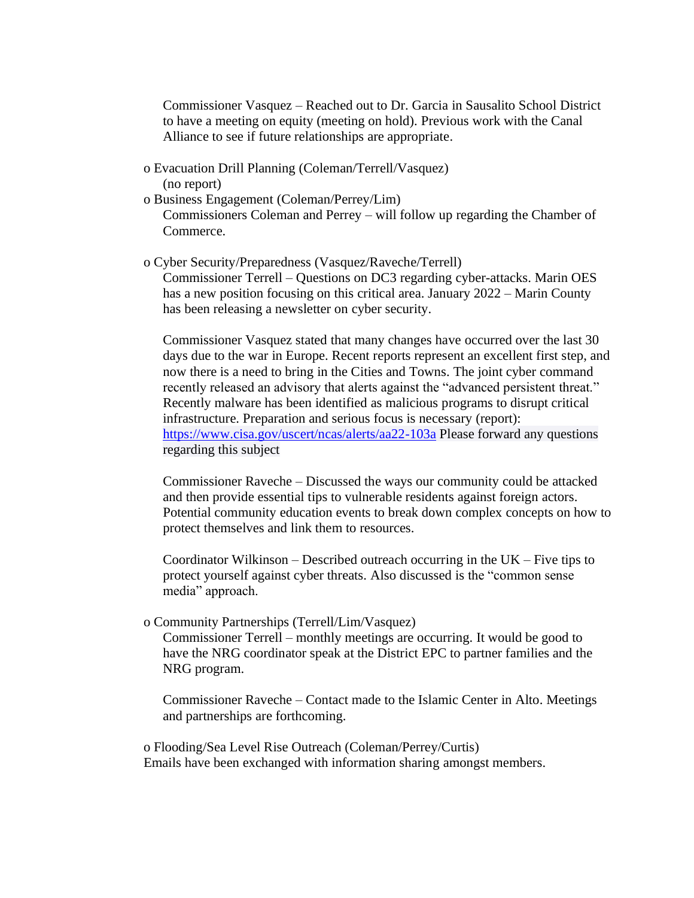Commissioner Vasquez – Reached out to Dr. Garcia in Sausalito School District to have a meeting on equity (meeting on hold). Previous work with the Canal Alliance to see if future relationships are appropriate.

- o Evacuation Drill Planning (Coleman/Terrell/Vasquez) (no report)
- o Business Engagement (Coleman/Perrey/Lim) Commissioners Coleman and Perrey – will follow up regarding the Chamber of Commerce.
- o Cyber Security/Preparedness (Vasquez/Raveche/Terrell) Commissioner Terrell – Questions on DC3 regarding cyber-attacks. Marin OES has a new position focusing on this critical area. January 2022 – Marin County has been releasing a newsletter on cyber security.

Commissioner Vasquez stated that many changes have occurred over the last 30 days due to the war in Europe. Recent reports represent an excellent first step, and now there is a need to bring in the Cities and Towns. The joint cyber command recently released an advisory that alerts against the "advanced persistent threat." Recently malware has been identified as malicious programs to disrupt critical infrastructure. Preparation and serious focus is necessary (report): <https://www.cisa.gov/uscert/ncas/alerts/aa22-103a> Please forward any questions regarding this subject

Commissioner Raveche – Discussed the ways our community could be attacked and then provide essential tips to vulnerable residents against foreign actors. Potential community education events to break down complex concepts on how to protect themselves and link them to resources.

Coordinator Wilkinson – Described outreach occurring in the  $UK$  – Five tips to protect yourself against cyber threats. Also discussed is the "common sense media" approach.

o Community Partnerships (Terrell/Lim/Vasquez)

Commissioner Terrell – monthly meetings are occurring. It would be good to have the NRG coordinator speak at the District EPC to partner families and the NRG program.

Commissioner Raveche – Contact made to the Islamic Center in Alto. Meetings and partnerships are forthcoming.

o Flooding/Sea Level Rise Outreach (Coleman/Perrey/Curtis) Emails have been exchanged with information sharing amongst members.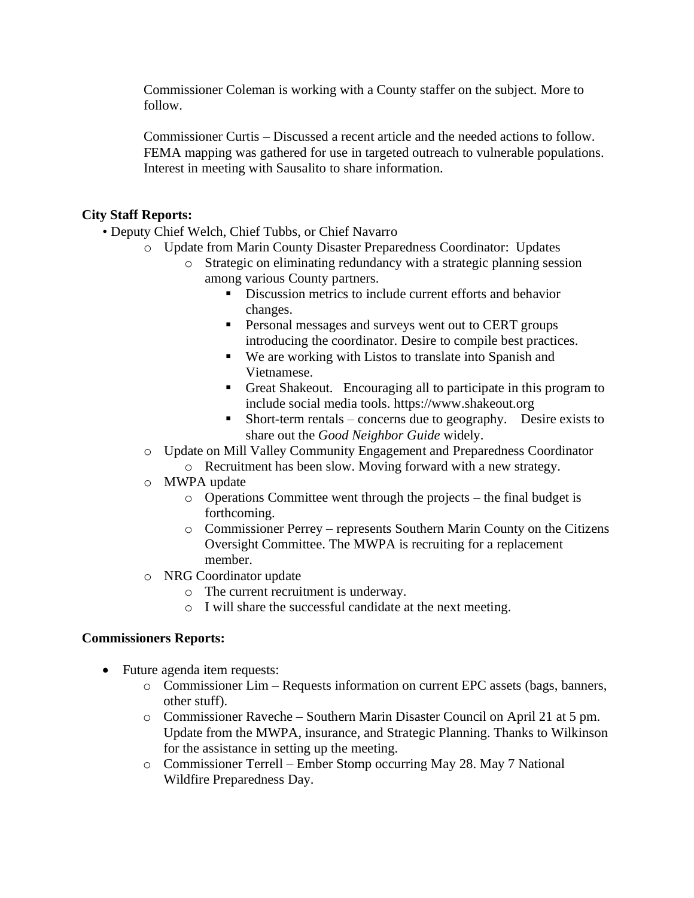Commissioner Coleman is working with a County staffer on the subject. More to follow.

Commissioner Curtis – Discussed a recent article and the needed actions to follow. FEMA mapping was gathered for use in targeted outreach to vulnerable populations. Interest in meeting with Sausalito to share information.

# **City Staff Reports:**

- Deputy Chief Welch, Chief Tubbs, or Chief Navarro
	- o Update from Marin County Disaster Preparedness Coordinator: Updates
		- o Strategic on eliminating redundancy with a strategic planning session among various County partners.
			- Discussion metrics to include current efforts and behavior changes.
			- **•** Personal messages and surveys went out to CERT groups introducing the coordinator. Desire to compile best practices.
			- We are working with Listos to translate into Spanish and Vietnamese.
			- Great Shakeout. Encouraging all to participate in this program to include social media tools. https://www.shakeout.org
			- $\blacksquare$  Short-term rentals concerns due to geography. Desire exists to share out the *Good Neighbor Guide* widely.
	- o Update on Mill Valley Community Engagement and Preparedness Coordinator o Recruitment has been slow. Moving forward with a new strategy.
	- o MWPA update
		- o Operations Committee went through the projects the final budget is forthcoming.
		- o Commissioner Perrey represents Southern Marin County on the Citizens Oversight Committee. The MWPA is recruiting for a replacement member.
	- o NRG Coordinator update
		- o The current recruitment is underway.
		- o I will share the successful candidate at the next meeting.

# **Commissioners Reports:**

- Future agenda item requests:
	- o Commissioner Lim Requests information on current EPC assets (bags, banners, other stuff).
	- o Commissioner Raveche Southern Marin Disaster Council on April 21 at 5 pm. Update from the MWPA, insurance, and Strategic Planning. Thanks to Wilkinson for the assistance in setting up the meeting.
	- o Commissioner Terrell Ember Stomp occurring May 28. May 7 National Wildfire Preparedness Day.